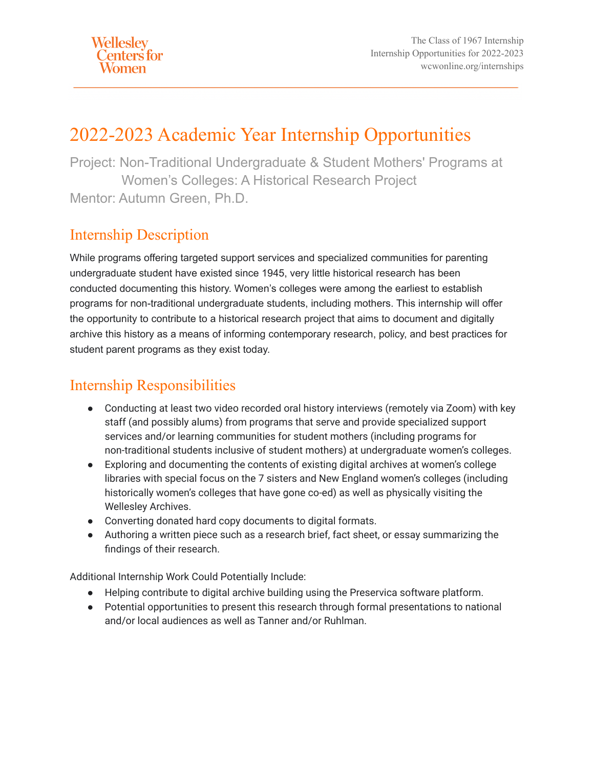# 2022-2023 Academic Year Internship Opportunities

Project: Non-Traditional Undergraduate & Student Mothers' Programs at Women's Colleges: A Historical Research Project Mentor: Autumn Green, Ph.D.

# Internship Description

While programs offering targeted support services and specialized communities for parenting undergraduate student have existed since 1945, very little historical research has been conducted documenting this history. Women's colleges were among the earliest to establish programs for non-traditional undergraduate students, including mothers. This internship will offer the opportunity to contribute to a historical research project that aims to document and digitally archive this history as a means of informing contemporary research, policy, and best practices for student parent programs as they exist today.

# Internship Responsibilities

- Conducting at least two video recorded oral history interviews (remotely via Zoom) with key staff (and possibly alums) from programs that serve and provide specialized support services and/or learning communities for student mothers (including programs for non-traditional students inclusive of student mothers) at undergraduate women's colleges.
- Exploring and documenting the contents of existing digital archives at women's college libraries with special focus on the 7 sisters and New England women's colleges (including historically women's colleges that have gone co-ed) as well as physically visiting the Wellesley Archives.
- Converting donated hard copy documents to digital formats.
- Authoring a written piece such as a research brief, fact sheet, or essay summarizing the findings of their research.

Additional Internship Work Could Potentially Include:

- Helping contribute to digital archive building using the Preservica software platform.
- Potential opportunities to present this research through formal presentations to national and/or local audiences as well as Tanner and/or Ruhlman.